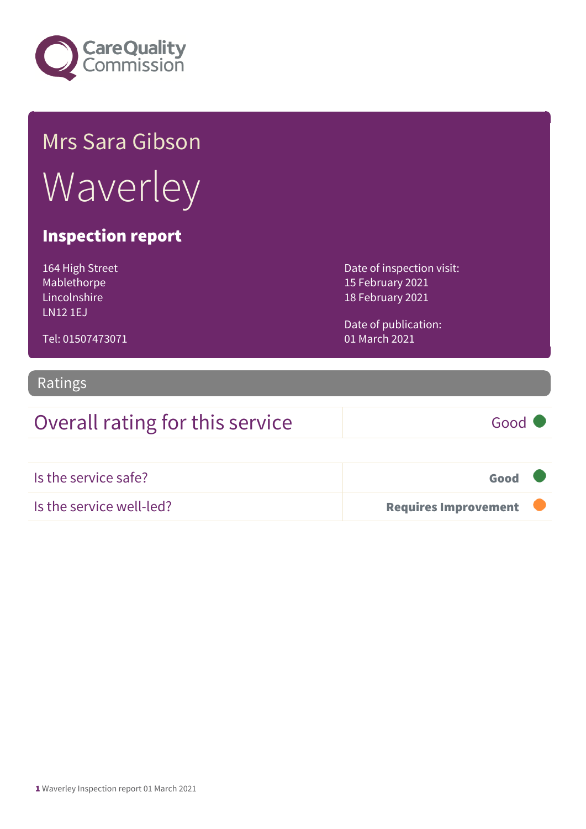

# Mrs Sara Gibson **Waverley**

#### Inspection report

164 High Street Mablethorpe Lincolnshire LN12 1EJ

Date of inspection visit: 15 February 2021 18 February 2021

Date of publication: 01 March 2021

#### Tel: 01507473071

#### Ratings

### Overall rating for this service Good

Is the service safe? Good Is the service well-led? **Requires Improvement**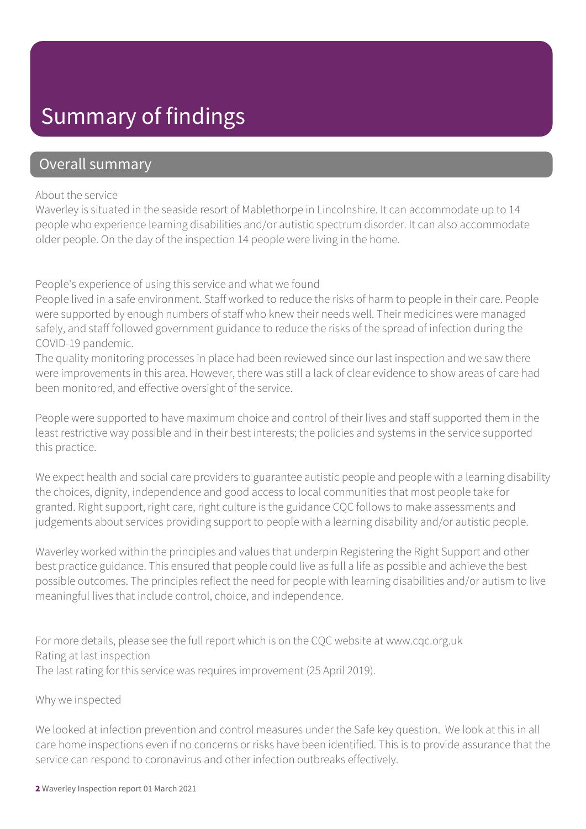### Summary of findings

#### Overall summary

#### About the service

Waverley is situated in the seaside resort of Mablethorpe in Lincolnshire. It can accommodate up to 14 people who experience learning disabilities and/or autistic spectrum disorder. It can also accommodate older people. On the day of the inspection 14 people were living in the home.

People's experience of using this service and what we found

People lived in a safe environment. Staff worked to reduce the risks of harm to people in their care. People were supported by enough numbers of staff who knew their needs well. Their medicines were managed safely, and staff followed government guidance to reduce the risks of the spread of infection during the COVID-19 pandemic.

The quality monitoring processes in place had been reviewed since our last inspection and we saw there were improvements in this area. However, there was still a lack of clear evidence to show areas of care had been monitored, and effective oversight of the service.

People were supported to have maximum choice and control of their lives and staff supported them in the least restrictive way possible and in their best interests; the policies and systems in the service supported this practice.

We expect health and social care providers to guarantee autistic people and people with a learning disability the choices, dignity, independence and good access to local communities that most people take for granted. Right support, right care, right culture is the guidance CQC follows to make assessments and judgements about services providing support to people with a learning disability and/or autistic people.

Waverley worked within the principles and values that underpin Registering the Right Support and other best practice guidance. This ensured that people could live as full a life as possible and achieve the best possible outcomes. The principles reflect the need for people with learning disabilities and/or autism to live meaningful lives that include control, choice, and independence.

For more details, please see the full report which is on the CQC website at www.cqc.org.uk Rating at last inspection The last rating for this service was requires improvement (25 April 2019).

#### Why we inspected

We looked at infection prevention and control measures under the Safe key question. We look at this in all care home inspections even if no concerns or risks have been identified. This is to provide assurance that the service can respond to coronavirus and other infection outbreaks effectively.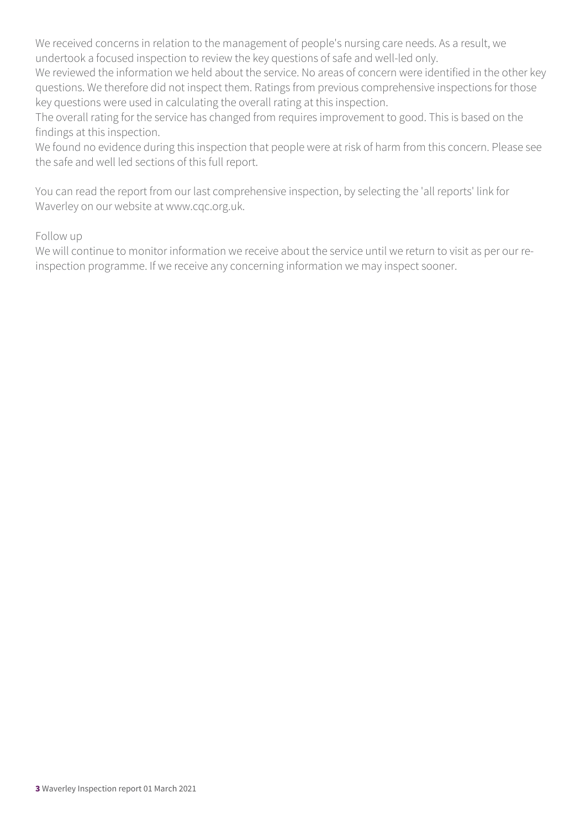We received concerns in relation to the management of people's nursing care needs. As a result, we undertook a focused inspection to review the key questions of safe and well-led only.

We reviewed the information we held about the service. No areas of concern were identified in the other key questions. We therefore did not inspect them. Ratings from previous comprehensive inspections for those key questions were used in calculating the overall rating at this inspection.

The overall rating for the service has changed from requires improvement to good. This is based on the findings at this inspection.

We found no evidence during this inspection that people were at risk of harm from this concern. Please see the safe and well led sections of this full report.

You can read the report from our last comprehensive inspection, by selecting the 'all reports' link for Waverley on our website at www.cqc.org.uk.

#### Follow up

We will continue to monitor information we receive about the service until we return to visit as per our reinspection programme. If we receive any concerning information we may inspect sooner.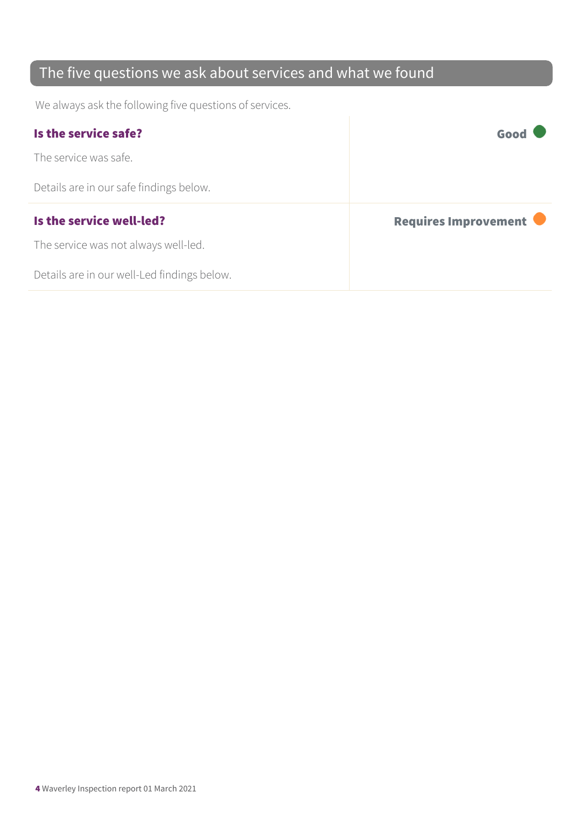### The five questions we ask about services and what we found

We always ask the following five questions of services.

| Is the service safe?                    | Good                 |
|-----------------------------------------|----------------------|
| The service was safe.                   |                      |
| Details are in our safe findings below. |                      |
|                                         |                      |
| Is the service well-led?                | Requires Improvement |
| The service was not always well-led.    |                      |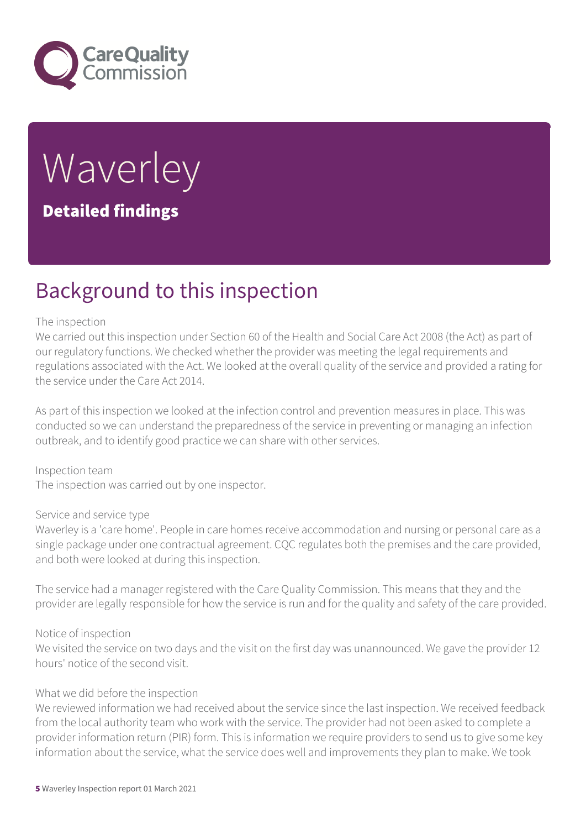

## Waverley Detailed findings

### Background to this inspection

#### The inspection

We carried out this inspection under Section 60 of the Health and Social Care Act 2008 (the Act) as part of our regulatory functions. We checked whether the provider was meeting the legal requirements and regulations associated with the Act. We looked at the overall quality of the service and provided a rating for the service under the Care Act 2014.

As part of this inspection we looked at the infection control and prevention measures in place. This was conducted so we can understand the preparedness of the service in preventing or managing an infection outbreak, and to identify good practice we can share with other services.

Inspection team The inspection was carried out by one inspector.

#### Service and service type

Waverley is a 'care home'. People in care homes receive accommodation and nursing or personal care as a single package under one contractual agreement. CQC regulates both the premises and the care provided, and both were looked at during this inspection.

The service had a manager registered with the Care Quality Commission. This means that they and the provider are legally responsible for how the service is run and for the quality and safety of the care provided.

#### Notice of inspection

We visited the service on two days and the visit on the first day was unannounced. We gave the provider 12 hours' notice of the second visit.

#### What we did before the inspection

We reviewed information we had received about the service since the last inspection. We received feedback from the local authority team who work with the service. The provider had not been asked to complete a provider information return (PIR) form. This is information we require providers to send us to give some key information about the service, what the service does well and improvements they plan to make. We took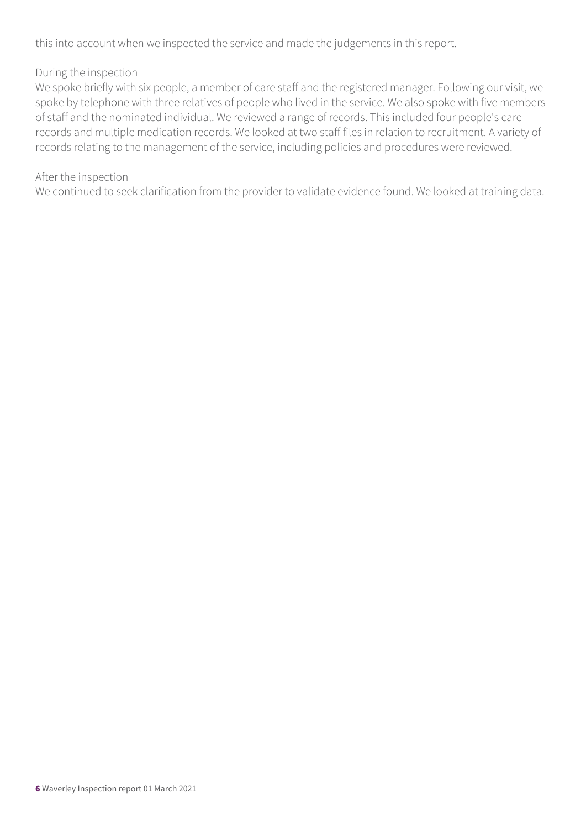this into account when we inspected the service and made the judgements in this report.

#### During the inspection

We spoke briefly with six people, a member of care staff and the registered manager. Following our visit, we spoke by telephone with three relatives of people who lived in the service. We also spoke with five members of staff and the nominated individual. We reviewed a range of records. This included four people's care records and multiple medication records. We looked at two staff files in relation to recruitment. A variety of records relating to the management of the service, including policies and procedures were reviewed.

#### After the inspection

We continued to seek clarification from the provider to validate evidence found. We looked at training data.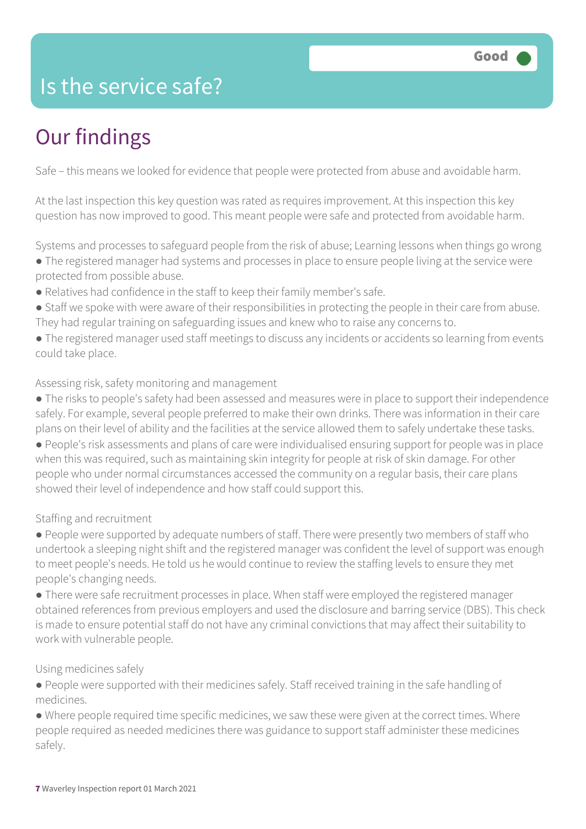### Is the service safe?

### Our findings

Safe – this means we looked for evidence that people were protected from abuse and avoidable harm.

At the last inspection this key question was rated as requires improvement. At this inspection this key question has now improved to good. This meant people were safe and protected from avoidable harm.

Systems and processes to safeguard people from the risk of abuse; Learning lessons when things go wrong

- The registered manager had systems and processes in place to ensure people living at the service were protected from possible abuse.
- Relatives had confidence in the staff to keep their family member's safe.
- Staff we spoke with were aware of their responsibilities in protecting the people in their care from abuse. They had regular training on safeguarding issues and knew who to raise any concerns to.
- The registered manager used staff meetings to discuss any incidents or accidents so learning from events could take place.

#### Assessing risk, safety monitoring and management

● The risks to people's safety had been assessed and measures were in place to support their independence safely. For example, several people preferred to make their own drinks. There was information in their care plans on their level of ability and the facilities at the service allowed them to safely undertake these tasks. ● People's risk assessments and plans of care were individualised ensuring support for people was in place when this was required, such as maintaining skin integrity for people at risk of skin damage. For other people who under normal circumstances accessed the community on a regular basis, their care plans showed their level of independence and how staff could support this.

#### Staffing and recruitment

● People were supported by adequate numbers of staff. There were presently two members of staff who undertook a sleeping night shift and the registered manager was confident the level of support was enough to meet people's needs. He told us he would continue to review the staffing levels to ensure they met people's changing needs.

● There were safe recruitment processes in place. When staff were employed the registered manager obtained references from previous employers and used the disclosure and barring service (DBS). This check is made to ensure potential staff do not have any criminal convictions that may affect their suitability to work with vulnerable people.

#### Using medicines safely

● People were supported with their medicines safely. Staff received training in the safe handling of medicines.

● Where people required time specific medicines, we saw these were given at the correct times. Where people required as needed medicines there was guidance to support staff administer these medicines safely.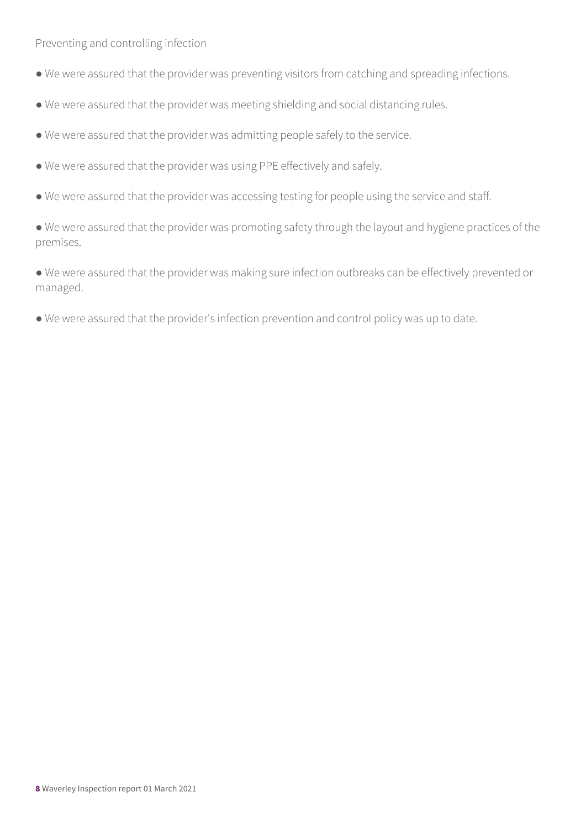Preventing and controlling infection

- We were assured that the provider was preventing visitors from catching and spreading infections.
- We were assured that the provider was meeting shielding and social distancing rules.
- We were assured that the provider was admitting people safely to the service.
- We were assured that the provider was using PPE effectively and safely.
- We were assured that the provider was accessing testing for people using the service and staff.

● We were assured that the provider was promoting safety through the layout and hygiene practices of the premises.

● We were assured that the provider was making sure infection outbreaks can be effectively prevented or managed.

● We were assured that the provider's infection prevention and control policy was up to date.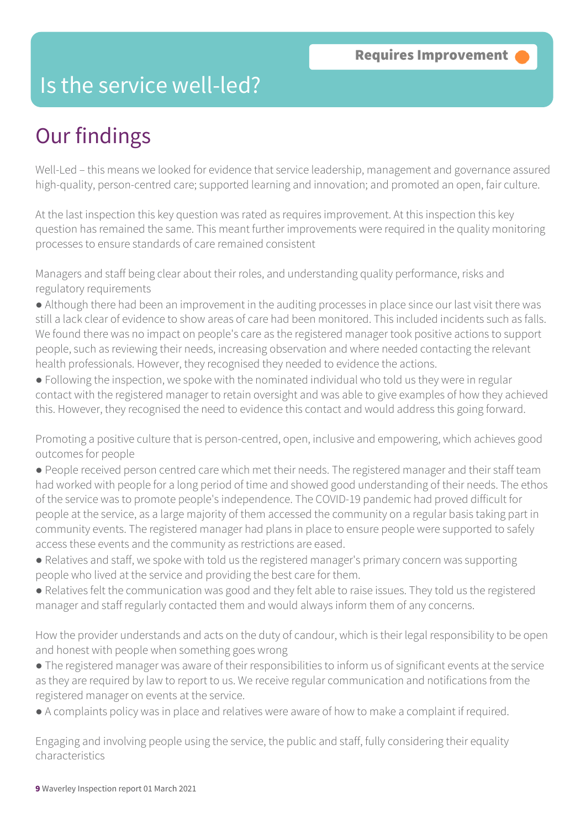### Is the service well-led?

### Our findings

Well-Led – this means we looked for evidence that service leadership, management and governance assured high-quality, person-centred care; supported learning and innovation; and promoted an open, fair culture.

At the last inspection this key question was rated as requires improvement. At this inspection this key question has remained the same. This meant further improvements were required in the quality monitoring processes to ensure standards of care remained consistent

Managers and staff being clear about their roles, and understanding quality performance, risks and regulatory requirements

● Although there had been an improvement in the auditing processes in place since our last visit there was still a lack clear of evidence to show areas of care had been monitored. This included incidents such as falls. We found there was no impact on people's care as the registered manager took positive actions to support people, such as reviewing their needs, increasing observation and where needed contacting the relevant health professionals. However, they recognised they needed to evidence the actions.

● Following the inspection, we spoke with the nominated individual who told us they were in regular contact with the registered manager to retain oversight and was able to give examples of how they achieved this. However, they recognised the need to evidence this contact and would address this going forward.

Promoting a positive culture that is person-centred, open, inclusive and empowering, which achieves good outcomes for people

● People received person centred care which met their needs. The registered manager and their staff team had worked with people for a long period of time and showed good understanding of their needs. The ethos of the service was to promote people's independence. The COVID-19 pandemic had proved difficult for people at the service, as a large majority of them accessed the community on a regular basis taking part in community events. The registered manager had plans in place to ensure people were supported to safely access these events and the community as restrictions are eased.

- Relatives and staff, we spoke with told us the registered manager's primary concern was supporting people who lived at the service and providing the best care for them.
- Relatives felt the communication was good and they felt able to raise issues. They told us the registered manager and staff regularly contacted them and would always inform them of any concerns.

How the provider understands and acts on the duty of candour, which is their legal responsibility to be open and honest with people when something goes wrong

- The registered manager was aware of their responsibilities to inform us of significant events at the service as they are required by law to report to us. We receive regular communication and notifications from the registered manager on events at the service.
- A complaints policy was in place and relatives were aware of how to make a complaint if required.

Engaging and involving people using the service, the public and staff, fully considering their equality characteristics